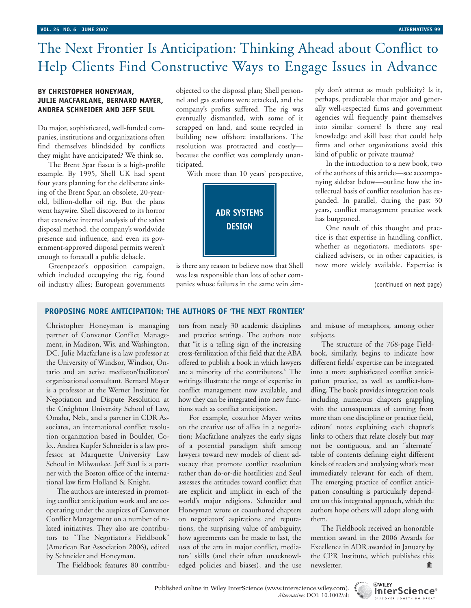# The Next Frontier Is Anticipation: Thinking Ahead about Conflict to Help Clients Find Constructive Ways to Engage Issues in Advance

#### **BY CHRISTOPHER HONEYMAN, JULIE MACFARLANE, BERNARD MAYER, ANDREA SCHNEIDER AND JEFF SEUL**

Do major, sophisticated, well-funded companies, institutions and organizations often find themselves blindsided by conflicts they might have anticipated? We think so.

The Brent Spar fiasco is a high-profile example. By 1995, Shell UK had spent four years planning for the deliberate sinking of the Brent Spar, an obsolete, 20-yearold, billion-dollar oil rig. But the plans went haywire. Shell discovered to its horror that extensive internal analysis of the safest disposal method, the company's worldwide presence and influence, and even its government-approved disposal permits weren't enough to forestall a public debacle.

Greenpeace's opposition campaign, which included occupying the rig, found oil industry allies; European governments objected to the disposal plan; Shell personnel and gas stations were attacked, and the company's profits suffered. The rig was eventually dismantled, with some of it scrapped on land, and some recycled in building new offshore installations. The resolution was protracted and costly because the conflict was completely unanticipated.

With more than 10 years' perspective,



is there any reason to believe now that Shell was less responsible than lots of other companies whose failures in the same vein simply don't attract as much publicity? Is it, perhaps, predictable that major and generally well-respected firms and government agencies will frequently paint themselves into similar corners? Is there any real knowledge and skill base that could help firms and other organizations avoid this kind of public or private trauma?

In the introduction to a new book, two of the authors of this article—see accompanying sidebar below—outline how the intellectual basis of conflict resolution has expanded. In parallel, during the past 30 years, conflict management practice work has burgeoned.

One result of this thought and practice is that expertise in handling conflict, whether as negotiators, mediators, specialized advisers, or in other capacities, is now more widely available. Expertise is

(continued on next page)

#### **PROPOSING MORE ANTICIPATION: THE AUTHORS OF 'THE NEXT FRONTIER'**

Christopher Honeyman is managing partner of Convenor Conflict Management, in Madison, Wis. and Washington, DC. Julie Macfarlane is a law professor at the University of Windsor, Windsor, Ontario and an active mediator/facilitator/ organizational consultant. Bernard Mayer is a professor at the Werner Institute for Negotiation and Dispute Resolution at the Creighton University School of Law, Omaha, Neb., and a partner in CDR Associates, an international conflict resolution organization based in Boulder, Colo.. Andrea Kupfer Schneider is a law professor at Marquette University Law School in Milwaukee. Jeff Seul is a partner with the Boston office of the international law firm Holland & Knight.

The authors are interested in promoting conflict anticipation work and are cooperating under the auspices of Convenor Conflict Management on a number of related initiatives. They also are contributors to "The Negotiator's Fieldbook" (American Bar Association 2006), edited by Schneider and Honeyman.

The Fieldbook features 80 contribu-

tors from nearly 30 academic disciplines and practice settings. The authors note that "it is a telling sign of the increasing cross-fertilization of this field that the ABA offered to publish a book in which lawyers are a minority of the contributors." The writings illustrate the range of expertise in conflict management now available, and how they can be integrated into new functions such as conflict anticipation.

For example, coauthor Mayer writes on the creative use of allies in a negotiation; Macfarlane analyzes the early signs of a potential paradigm shift among lawyers toward new models of client advocacy that promote conflict resolution rather than do-or-die hostilities; and Seul assesses the attitudes toward conflict that are explicit and implicit in each of the world's major religions. Schneider and Honeyman wrote or coauthored chapters on negotiators' aspirations and reputations, the surprising value of ambiguity, how agreements can be made to last, the uses of the arts in major conflict, mediators' skills (and their often unacknowledged policies and biases), and the use and misuse of metaphors, among other subjects.

The structure of the 768-page Fieldbook, similarly, begins to indicate how different fields' expertise can be integrated into a more sophisticated conflict anticipation practice, as well as conflict-handling. The book provides integration tools including numerous chapters grappling with the consequences of coming from more than one discipline or practice field, editors' notes explaining each chapter's links to others that relate closely but may not be contiguous, and an "alternate" table of contents defining eight different kinds of readers and analyzing what's most immediately relevant for each of them. The emerging practice of conflict anticipation consulting is particularly dependent on this integrated approach, which the authors hope others will adopt along with them.

The Fieldbook received an honorable mention award in the 2006 Awards for Excellence in ADR awarded in January by the CPR Institute, which publishes this newsletter.

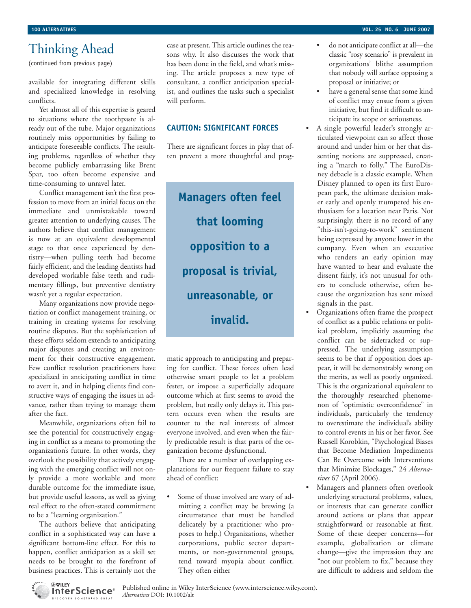### Thinking Ahead

(continued from previous page)

available for integrating different skills and specialized knowledge in resolving conflicts.

Yet almost all of this expertise is geared to situations where the toothpaste is already out of the tube. Major organizations routinely miss opportunities by failing to anticipate foreseeable conflicts. The resulting problems, regardless of whether they become publicly embarrassing like Brent Spar, too often become expensive and time-consuming to unravel later.

Conflict management isn't the first profession to move from an initial focus on the immediate and unmistakable toward greater attention to underlying causes. The authors believe that conflict management is now at an equivalent developmental stage to that once experienced by dentistry—when pulling teeth had become fairly efficient, and the leading dentists had developed workable false teeth and rudimentary fillings, but preventive dentistry wasn't yet a regular expectation.

Many organizations now provide negotiation or conflict management training, or training in creating systems for resolving routine disputes. But the sophistication of these efforts seldom extends to anticipating major disputes and creating an environment for their constructive engagement. Few conflict resolution practitioners have specialized in anticipating conflict in time to avert it, and in helping clients find constructive ways of engaging the issues in advance, rather than trying to manage them after the fact.

Meanwhile, organizations often fail to see the potential for constructively engaging in conflict as a means to promoting the organization's future. In other words, they overlook the possibility that actively engaging with the emerging conflict will not only provide a more workable and more durable outcome for the immediate issue, but provide useful lessons, as well as giving real effect to the often-stated commitment to be a "learning organization."

The authors believe that anticipating conflict in a sophisticated way can have a significant bottom-line effect. For this to happen, conflict anticipation as a skill set needs to be brought to the forefront of business practices. This is certainly not the

case at present. This article outlines the reasons why. It also discusses the work that has been done in the field, and what's missing. The article proposes a new type of consultant, a conflict anticipation specialist, and outlines the tasks such a specialist will perform.

#### **CAUTION: SIGNIFICANT FORCES**

There are significant forces in play that often prevent a more thoughtful and prag-

**Managers often feel that looming opposition to a proposal is trivial, unreasonable, or invalid.** 

matic approach to anticipating and preparing for conflict. These forces often lead otherwise smart people to let a problem fester, or impose a superficially adequate outcome which at first seems to avoid the problem, but really only delays it. This pattern occurs even when the results are counter to the real interests of almost everyone involved, and even when the fairly predictable result is that parts of the organization become dysfunctional.

There are a number of overlapping explanations for our frequent failure to stay ahead of conflict:

Some of those involved are wary of admitting a conflict may be brewing (a circumstance that must be handled delicately by a practitioner who proposes to help.) Organizations, whether corporations, public sector departments, or non-governmental groups, tend toward myopia about conflict. They often either

- do not anticipate conflict at all—the classic "rosy scenario" is prevalent in organizations' blithe assumption that nobody will surface opposing a proposal or initiative; or
- have a general sense that some kind of conflict may ensue from a given initiative, but find it difficult to anticipate its scope or seriousness.
- A single powerful leader's strongly articulated viewpoint can so affect those around and under him or her that dissenting notions are suppressed, creating a "march to folly." The EuroDisney debacle is a classic example. When Disney planned to open its first European park, the ultimate decision maker early and openly trumpeted his enthusiasm for a location near Paris. Not surprisingly, there is no record of any "this-isn't-going-to-work" sentiment being expressed by anyone lower in the company. Even when an executive who renders an early opinion may have wanted to hear and evaluate the dissent fairly, it's not unusual for others to conclude otherwise, often because the organization has sent mixed signals in the past.
- Organizations often frame the prospect of conflict as a public relations or political problem, implicitly assuming the conflict can be sidetracked or suppressed. The underlying assumption seems to be that if opposition does appear, it will be demonstrably wrong on the merits, as well as poorly organized. This is the organizational equivalent to the thoroughly researched phenomenon of "optimistic overconfidence" in individuals, particularly the tendency to overestimate the individual's ability to control events in his or her favor. See Russell Korobkin, "Psychological Biases that Become Mediation Impediments Can Be Overcome with Interventions that Minimize Blockages," 24 *Alternatives* 67 (April 2006).
- Managers and planners often overlook underlying structural problems, values, or interests that can generate conflict around actions or plans that appear straightforward or reasonable at first. Some of these deeper concerns—for example, globalization or climate change—give the impression they are "not our problem to fix," because they are difficult to address and seldom the

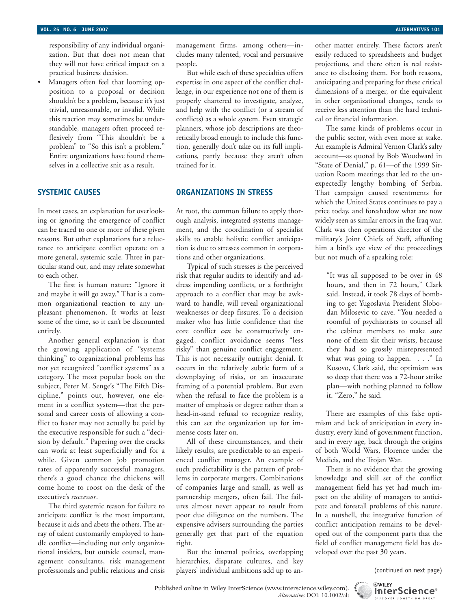responsibility of any individual organization. But that does not mean that they will not have critical impact on a practical business decision.

• Managers often feel that looming opposition to a proposal or decision shouldn't be a problem, because it's just trivial, unreasonable, or invalid. While this reaction may sometimes be understandable, managers often proceed reflexively from "This shouldn't be a problem" to "So this isn't a problem." Entire organizations have found themselves in a collective snit as a result.

#### **SYSTEMIC CAUSES**

In most cases, an explanation for overlooking or ignoring the emergence of conflict can be traced to one or more of these given reasons. But other explanations for a reluctance to anticipate conflict operate on a more general, systemic scale. Three in particular stand out, and may relate somewhat to each other.

The first is human nature: "Ignore it and maybe it will go away." That is a common organizational reaction to any unpleasant phenomenon. It works at least some of the time, so it can't be discounted entirely.

Another general explanation is that the growing application of "systems thinking" to organizational problems has not yet recognized "conflict systems" as a category. The most popular book on the subject, Peter M. Senge's "The Fifth Discipline," points out, however, one element in a conflict system—that the personal and career costs of allowing a conflict to fester may not actually be paid by the executive responsible for such a "decision by default." Papering over the cracks can work at least superficially and for a while. Given common job promotion rates of apparently successful managers, there's a good chance the chickens will come home to roost on the desk of the executive's *successor*.

The third systemic reason for failure to anticipate conflict is the most important, because it aids and abets the others. The array of talent customarily employed to handle conflict—including not only organizational insiders, but outside counsel, management consultants, risk management professionals and public relations and crisis management firms, among others—includes many talented, vocal and persuasive people.

But while each of these specialties offers expertise in one aspect of the conflict challenge, in our experience not one of them is properly chartered to investigate, analyze, and help with the conflict (or a stream of conflicts) as a whole system. Even strategic planners, whose job descriptions are theoretically broad enough to include this function, generally don't take on its full implications, partly because they aren't often trained for it.

#### **ORGANIZATIONS IN STRESS**

At root, the common failure to apply thorough analysis, integrated systems management, and the coordination of specialist skills to enable holistic conflict anticipation is due to stresses common in corporations and other organizations.

Typical of such stresses is the perceived risk that regular audits to identify and address impending conflicts, or a forthright approach to a conflict that may be awkward to handle, will reveal organizational weaknesses or deep fissures. To a decision maker who has little confidence that the core conflict *can* be constructively engaged, conflict avoidance seems "less risky" than genuine conflict engagement. This is not necessarily outright denial. It occurs in the relatively subtle form of a downplaying of risks, or an inaccurate framing of a potential problem. But even when the refusal to face the problem is a matter of emphasis or degree rather than a head-in-sand refusal to recognize reality, this can set the organization up for immense costs later on.

All of these circumstances, and their likely results, are predictable to an experienced conflict manager. An example of such predictability is the pattern of problems in corporate mergers. Combinations of companies large and small, as well as partnership mergers, often fail. The failures almost never appear to result from poor due diligence on the numbers. The expensive advisers surrounding the parties generally get that part of the equation right.

But the internal politics, overlapping hierarchies, disparate cultures, and key players' individual ambitions add up to another matter entirely. These factors aren't easily reduced to spreadsheets and budget projections, and there often is real resistance to disclosing them. For both reasons, anticipating and preparing for these critical dimensions of a merger, or the equivalent in other organizational changes, tends to receive less attention than the hard technical or financial information.

The same kinds of problems occur in the public sector, with even more at stake. An example is Admiral Vernon Clark's salty account—as quoted by Bob Woodward in "State of Denial," p. 61—of the 1999 Situation Room meetings that led to the unexpectedly lengthy bombing of Serbia. That campaign caused resentments for which the United States continues to pay a price today, and foreshadow what are now widely seen as similar errors in the Iraq war. Clark was then operations director of the military's Joint Chiefs of Staff, affording him a bird's eye view of the proceedings but not much of a speaking role:

"It was all supposed to be over in 48 hours, and then in 72 hours," Clark said. Instead, it took 78 days of bombing to get Yugoslavia President Slobodan Milosevic to cave. "You needed a roomful of psychiatrists to counsel all the cabinet members to make sure none of them slit their wrists, because they had so grossly misrepresented what was going to happen. . . ." In Kosovo, Clark said, the optimism was so deep that there was a 72-hour strike plan—with nothing planned to follow it. "Zero," he said.

There are examples of this false optimism and lack of anticipation in every industry, every kind of government function, and in every age, back through the origins of both World Wars, Florence under the Medicis, and the Trojan War.

There is no evidence that the growing knowledge and skill set of the conflict management field has yet had much impact on the ability of managers to anticipate and forestall problems of this nature. In a nutshell, the integrative function of conflict anticipation remains to be developed out of the component parts that the field of conflict management field has developed over the past 30 years.

(continued on next page)



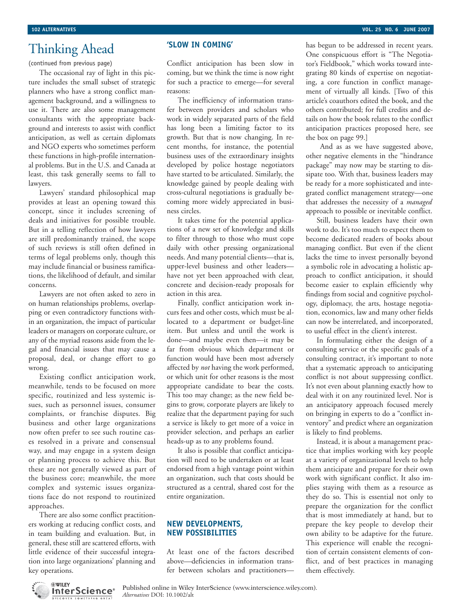## Thinking Ahead

(continued from previous page)

The occasional ray of light in this picture includes the small subset of strategic planners who have a strong conflict management background, and a willingness to use it. There are also some management consultants with the appropriate background and interests to assist with conflict anticipation, as well as certain diplomats and NGO experts who sometimes perform these functions in high-profile international problems. But in the U.S. and Canada at least, this task generally seems to fall to lawyers.

Lawyers' standard philosophical map provides at least an opening toward this concept, since it includes screening of deals and initiatives for possible trouble. But in a telling reflection of how lawyers are still predominantly trained, the scope of such reviews is still often defined in terms of legal problems only, though this may include financial or business ramifications, the likelihood of default, and similar concerns.

Lawyers are not often asked to zero in on human relationships problems, overlapping or even contradictory functions within an organization, the impact of particular leaders or managers on corporate culture, or any of the myriad reasons aside from the legal and financial issues that may cause a proposal, deal, or change effort to go wrong.

Existing conflict anticipation work, meanwhile, tends to be focused on more specific, routinized and less systemic issues, such as personnel issues, consumer complaints, or franchise disputes. Big business and other large organizations now often prefer to see such routine cases resolved in a private and consensual way, and may engage in a system design or planning process to achieve this. But these are not generally viewed as part of the business core; meanwhile, the more complex and systemic issues organizations face do not respond to routinized approaches.

There are also some conflict practitioners working at reducing conflict costs, and in team building and evaluation. But, in general, these still are scattered efforts, with little evidence of their successful integration into large organizations' planning and key operations.

#### **'SLOW IN COMING'**

Conflict anticipation has been slow in coming, but we think the time is now right for such a practice to emerge—for several reasons:

The inefficiency of information transfer between providers and scholars who work in widely separated parts of the field has long been a limiting factor to its growth. But that is now changing. In recent months, for instance, the potential business uses of the extraordinary insights developed by police hostage negotiators have started to be articulated. Similarly, the knowledge gained by people dealing with cross-cultural negotiations is gradually becoming more widely appreciated in business circles.

It takes time for the potential applications of a new set of knowledge and skills to filter through to those who must cope daily with other pressing organizational needs. And many potential clients—that is, upper-level business and other leaders have not yet been approached with clear, concrete and decision-ready proposals for action in this area.

Finally, conflict anticipation work incurs fees and other costs, which must be allocated to a department or budget-line item. But unless and until the work is done—and maybe even then—it may be far from obvious which department or function would have been most adversely affected by *not* having the work performed, or which unit for other reasons is the most appropriate candidate to bear the costs. This too may change; as the new field begins to grow, corporate players are likely to realize that the department paying for such a service is likely to get more of a voice in provider selection, and perhaps an earlier heads-up as to any problems found.

It also is possible that conflict anticipation will need to be undertaken or at least endorsed from a high vantage point within an organization, such that costs should be structured as a central, shared cost for the entire organization.

#### **NEW DEVELOPMENTS, NEW POSSIBILITIES**

At least one of the factors described above—deficiencies in information transfer between scholars and practitionershas begun to be addressed in recent years. One conspicuous effort is "The Negotiator's Fieldbook," which works toward integrating 80 kinds of expertise on negotiating, a core function in conflict management of virtually all kinds. [Two of this article's coauthors edited the book, and the others contributed; for full credits and details on how the book relates to the conflict anticipation practices proposed here, see the box on page 99.]

And as as we have suggested above, other negative elements in the "hindrance package" may now may be starting to dissipate too. With that, business leaders may be ready for a more sophisticated and integrated conflict management strategy—one that addresses the necessity of a *managed* approach to possible or inevitable conflict.

Still, business leaders have their own work to do. It's too much to expect them to become dedicated readers of books about managing conflict. But even if the client lacks the time to invest personally beyond a symbolic role in advocating a holistic approach to conflict anticipation, it should become easier to explain efficiently why findings from social and cognitive psychology, diplomacy, the arts, hostage negotiation, economics, law and many other fields can now be interrelated, and incorporated, to useful effect in the client's interest.

In formulating either the design of a consulting service or the specific goals of a consulting contract, it's important to note that a systematic approach to anticipating conflict is not about suppressing conflict. It's not even about planning exactly how to deal with it on any routinized level. Nor is an anticipatory approach focused merely on bringing in experts to do a "conflict inventory" and predict where an organization is likely to find problems.

Instead, it is about a management practice that implies working with key people at a variety of organizational levels to help them anticipate and prepare for their own work with significant conflict. It also implies staying with them as a resource as they do so. This is essential not only to prepare the organization for the conflict that is most immediately at hand, but to prepare the key people to develop their own ability to be adaptive for the future. This experience will enable the recognition of certain consistent elements of conflict, and of best practices in managing them effectively.